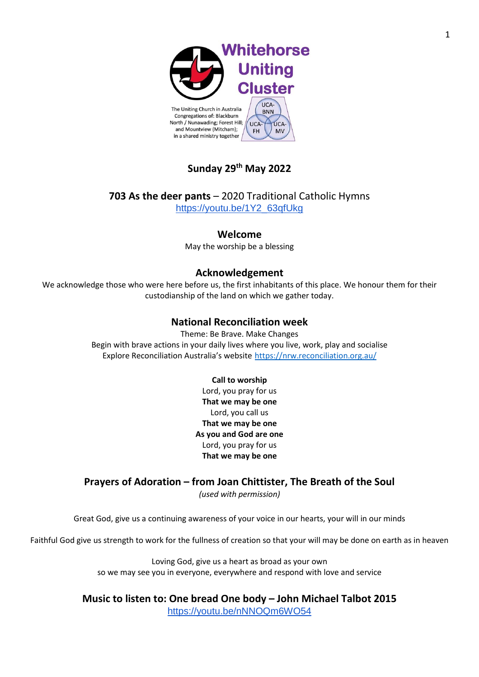

# **Sunday 29th May 2022**

**703 As the deer pants** – 2020 Traditional Catholic Hymns [https://youtu.be/1Y2\\_63qfUkg](https://youtu.be/1Y2_63qfUkg)

### **Welcome**

May the worship be a blessing

### **Acknowledgement**

We acknowledge those who were here before us, the first inhabitants of this place. We honour them for their custodianship of the land on which we gather today.

### **National Reconciliation week**

Theme: Be Brave. Make Changes Begin with brave actions in your daily lives where you live, work, play and socialise Explore Reconciliation Australia's website <https://nrw.reconciliation.org.au/>

#### **Call to worship**

Lord, you pray for us **That we may be one** Lord, you call us **That we may be one As you and God are one** Lord, you pray for us **That we may be one**

### **Prayers of Adoration – from Joan Chittister, The Breath of the Soul**

*(used with permission)*

Great God, give us a continuing awareness of your voice in our hearts, your will in our minds

Faithful God give us strength to work for the fullness of creation so that your will may be done on earth as in heaven

Loving God, give us a heart as broad as your own so we may see you in everyone, everywhere and respond with love and service

**Music to listen to: One bread One body – John Michael Talbot 2015** <https://youtu.be/nNNOQm6WO54>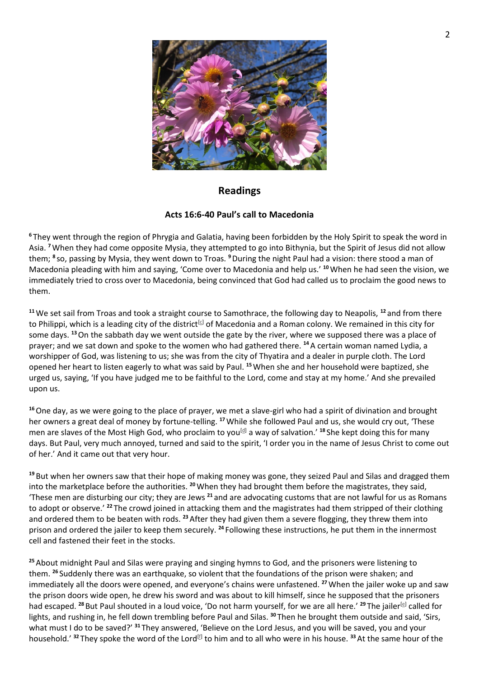

### **Readings**

### **Acts 16:6-40 Paul's call to Macedonia**

**<sup>6</sup>** They went through the region of Phrygia and Galatia, having been forbidden by the Holy Spirit to speak the word in Asia. **<sup>7</sup>**When they had come opposite Mysia, they attempted to go into Bithynia, but the Spirit of Jesus did not allow them; **<sup>8</sup>** so, passing by Mysia, they went down to Troas. **<sup>9</sup>**During the night Paul had a vision: there stood a man of Macedonia pleading with him and saying, 'Come over to Macedonia and help us.' **<sup>10</sup>**When he had seen the vision, we immediately tried to cross over to Macedonia, being convinced that God had called us to proclaim the good news to them.

**<sup>11</sup>**We set sail from Troas and took a straight course to Samothrace, the following day to Neapolis, **<sup>12</sup>** and from there to Philippi, which is a leading city of the district<sup>[\[c\]](https://www.biblegateway.com/passage/?search=Acts+16&version=NRSVA#fen-NRSVA-27483c)</sup> of Macedonia and a Roman colony. We remained in this city for some days. **<sup>13</sup>**On the sabbath day we went outside the gate by the river, where we supposed there was a place of prayer; and we sat down and spoke to the women who had gathered there. **<sup>14</sup>**A certain woman named Lydia, a worshipper of God, was listening to us; she was from the city of Thyatira and a dealer in purple cloth. The Lord opened her heart to listen eagerly to what was said by Paul. **<sup>15</sup>**When she and her household were baptized, she urged us, saying, 'If you have judged me to be faithful to the Lord, come and stay at my home.' And she prevailed upon us.

**<sup>16</sup>**One day, as we were going to the place of prayer, we met a slave-girl who had a spirit of divination and brought her owners a great deal of money by fortune-telling. **<sup>17</sup>**While she followed Paul and us, she would cry out, 'These men are slaves of the Most High God, who proclaim to you<sup>[\[d\]](https://www.biblegateway.com/passage/?search=Acts+16&version=NRSVA#fen-NRSVA-27488d)</sup> a way of salvation.<sup>' 18</sup> She kept doing this for many days. But Paul, very much annoyed, turned and said to the spirit, 'I order you in the name of Jesus Christ to come out of her.' And it came out that very hour.

**<sup>19</sup>** But when her owners saw that their hope of making money was gone, they seized Paul and Silas and dragged them into the marketplace before the authorities. **<sup>20</sup>**When they had brought them before the magistrates, they said, 'These men are disturbing our city; they are Jews **<sup>21</sup>** and are advocating customs that are not lawful for us as Romans to adopt or observe.' **<sup>22</sup>** The crowd joined in attacking them and the magistrates had them stripped of their clothing and ordered them to be beaten with rods. **<sup>23</sup>**After they had given them a severe flogging, they threw them into prison and ordered the jailer to keep them securely. **<sup>24</sup>** Following these instructions, he put them in the innermost cell and fastened their feet in the stocks.

**<sup>25</sup>**About midnight Paul and Silas were praying and singing hymns to God, and the prisoners were listening to them. **<sup>26</sup>** Suddenly there was an earthquake, so violent that the foundations of the prison were shaken; and immediately all the doors were opened, and everyone's chains were unfastened. **<sup>27</sup>**When the jailer woke up and saw the prison doors wide open, he drew his sword and was about to kill himself, since he supposed that the prisoners had escaped. <sup>28</sup> But Paul shouted in a loud voice, 'Do not harm yourself, for we are all here.' <sup>29</sup> The jailer<sup>[\[e\]](https://www.biblegateway.com/passage/?search=Acts+16&version=NRSVA#fen-NRSVA-27500e)</sup> called for lights, and rushing in, he fell down trembling before Paul and Silas. **<sup>30</sup>** Then he brought them outside and said, 'Sirs, what must I do to be saved?' **<sup>31</sup>** They answered, 'Believe on the Lord Jesus, and you will be saved, you and your household.' <sup>32</sup> They spoke the word of the Lord<sup>[\[f\]](https://www.biblegateway.com/passage/?search=Acts+16&version=NRSVA#fen-NRSVA-27503f)</sup> to him and to all who were in his house. <sup>33</sup> At the same hour of the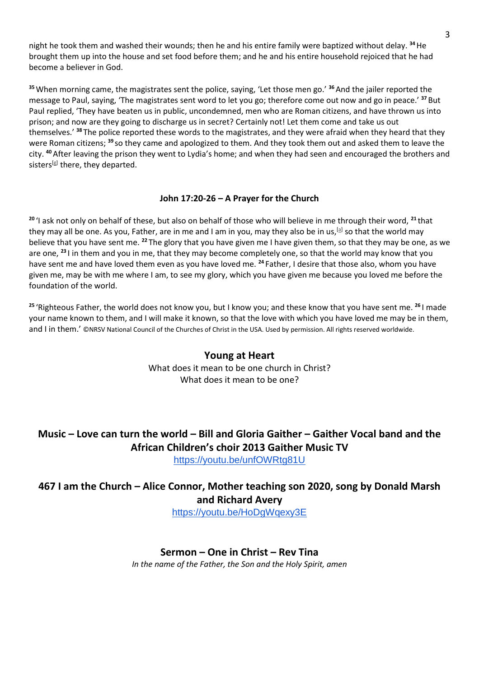night he took them and washed their wounds; then he and his entire family were baptized without delay. **<sup>34</sup>**He brought them up into the house and set food before them; and he and his entire household rejoiced that he had become a believer in God.

**<sup>35</sup>**When morning came, the magistrates sent the police, saying, 'Let those men go.' **<sup>36</sup>**And the jailer reported the message to Paul, saying, 'The magistrates sent word to let you go; therefore come out now and go in peace.' **<sup>37</sup>** But Paul replied, 'They have beaten us in public, uncondemned, men who are Roman citizens, and have thrown us into prison; and now are they going to discharge us in secret? Certainly not! Let them come and take us out themselves.' **<sup>38</sup>** The police reported these words to the magistrates, and they were afraid when they heard that they were Roman citizens; **<sup>39</sup>** so they came and apologized to them. And they took them out and asked them to leave the city. **<sup>40</sup>**After leaving the prison they went to Lydia's home; and when they had seen and encouraged the brothers and sisters<sup>[\[g\]](https://www.biblegateway.com/passage/?search=Acts+16&version=NRSVA#fen-NRSVA-27511g)</sup> there, they departed.

#### **John 17:20-26 – A Prayer for the Church**

**<sup>20</sup>** 'I ask not only on behalf of these, but also on behalf of those who will believe in me through their word, **<sup>21</sup>** that they may all be one. As you, Father, are in me and I am in you, may they also be in us,<sup>[\[a\]](https://www.biblegateway.com/passage/?search=John+17%3A20-26&version=NRSVA#fen-NRSVA-26770a)</sup> so that the world may believe that you have sent me. **<sup>22</sup>** The glory that you have given me I have given them, so that they may be one, as we are one, **<sup>23</sup>** I in them and you in me, that they may become completely one, so that the world may know that you have sent me and have loved them even as you have loved me. **<sup>24</sup>** Father, I desire that those also, whom you have given me, may be with me where I am, to see my glory, which you have given me because you loved me before the foundation of the world.

**<sup>25</sup>** 'Righteous Father, the world does not know you, but I know you; and these know that you have sent me. **<sup>26</sup>** I made your name known to them, and I will make it known, so that the love with which you have loved me may be in them, and I in them.' ©NRSV National Council of the Churches of Christ in the USA. Used by permission. All rights reserved worldwide.

### **Young at Heart** What does it mean to be one church in Christ? What does it mean to be one?

# **Music – Love can turn the world – Bill and Gloria Gaither – Gaither Vocal band and the African Children's choir 2013 Gaither Music TV**

<https://youtu.be/unfOWRtg81U>

# **467 I am the Church – Alice Connor, Mother teaching son 2020, song by Donald Marsh and Richard Avery**

<https://youtu.be/HoDgWqexy3E>

### **Sermon – One in Christ – Rev Tina**

*In the name of the Father, the Son and the Holy Spirit, amen*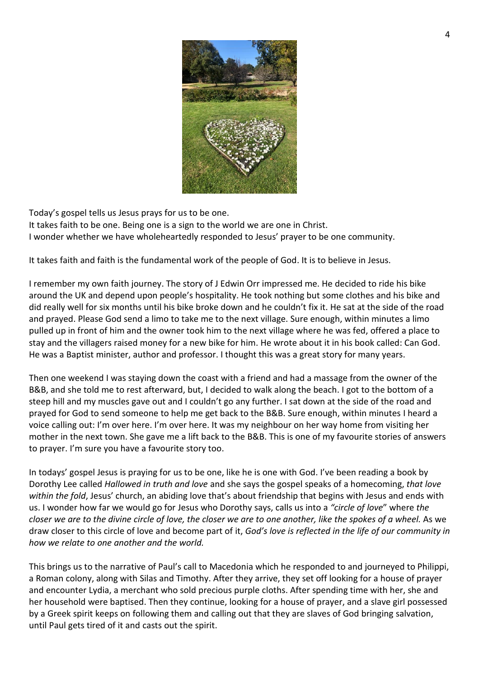

Today's gospel tells us Jesus prays for us to be one. It takes faith to be one. Being one is a sign to the world we are one in Christ. I wonder whether we have wholeheartedly responded to Jesus' prayer to be one community.

It takes faith and faith is the fundamental work of the people of God. It is to believe in Jesus.

I remember my own faith journey. The story of J Edwin Orr impressed me. He decided to ride his bike around the UK and depend upon people's hospitality. He took nothing but some clothes and his bike and did really well for six months until his bike broke down and he couldn't fix it. He sat at the side of the road and prayed. Please God send a limo to take me to the next village. Sure enough, within minutes a limo pulled up in front of him and the owner took him to the next village where he was fed, offered a place to stay and the villagers raised money for a new bike for him. He wrote about it in his book called: Can God. He was a Baptist minister, author and professor. I thought this was a great story for many years.

Then one weekend I was staying down the coast with a friend and had a massage from the owner of the B&B, and she told me to rest afterward, but, I decided to walk along the beach. I got to the bottom of a steep hill and my muscles gave out and I couldn't go any further. I sat down at the side of the road and prayed for God to send someone to help me get back to the B&B. Sure enough, within minutes I heard a voice calling out: I'm over here. I'm over here. It was my neighbour on her way home from visiting her mother in the next town. She gave me a lift back to the B&B. This is one of my favourite stories of answers to prayer. I'm sure you have a favourite story too.

In todays' gospel Jesus is praying for us to be one, like he is one with God. I've been reading a book by Dorothy Lee called *Hallowed in truth and love* and she says the gospel speaks of a homecoming, *that love within the fold*, Jesus' church, an abiding love that's about friendship that begins with Jesus and ends with us. I wonder how far we would go for Jesus who Dorothy says, calls us into a *"circle of love*" where *the closer we are to the divine circle of love, the closer we are to one another, like the spokes of a wheel.* As we draw closer to this circle of love and become part of it, *God's love is reflected in the life of our community in how we relate to one another and the world.*

This brings us to the narrative of Paul's call to Macedonia which he responded to and journeyed to Philippi, a Roman colony, along with Silas and Timothy. After they arrive, they set off looking for a house of prayer and encounter Lydia, a merchant who sold precious purple cloths. After spending time with her, she and her household were baptised. Then they continue, looking for a house of prayer, and a slave girl possessed by a Greek spirit keeps on following them and calling out that they are slaves of God bringing salvation, until Paul gets tired of it and casts out the spirit.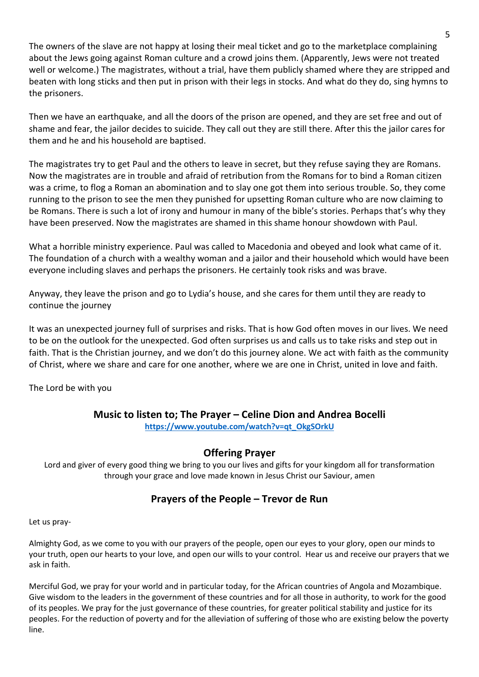The owners of the slave are not happy at losing their meal ticket and go to the marketplace complaining about the Jews going against Roman culture and a crowd joins them. (Apparently, Jews were not treated well or welcome.) The magistrates, without a trial, have them publicly shamed where they are stripped and beaten with long sticks and then put in prison with their legs in stocks. And what do they do, sing hymns to the prisoners.

Then we have an earthquake, and all the doors of the prison are opened, and they are set free and out of shame and fear, the jailor decides to suicide. They call out they are still there. After this the jailor cares for them and he and his household are baptised.

The magistrates try to get Paul and the others to leave in secret, but they refuse saying they are Romans. Now the magistrates are in trouble and afraid of retribution from the Romans for to bind a Roman citizen was a crime, to flog a Roman an abomination and to slay one got them into serious trouble. So, they come running to the prison to see the men they punished for upsetting Roman culture who are now claiming to be Romans. There is such a lot of irony and humour in many of the bible's stories. Perhaps that's why they have been preserved. Now the magistrates are shamed in this shame honour showdown with Paul.

What a horrible ministry experience. Paul was called to Macedonia and obeyed and look what came of it. The foundation of a church with a wealthy woman and a jailor and their household which would have been everyone including slaves and perhaps the prisoners. He certainly took risks and was brave.

Anyway, they leave the prison and go to Lydia's house, and she cares for them until they are ready to continue the journey

It was an unexpected journey full of surprises and risks. That is how God often moves in our lives. We need to be on the outlook for the unexpected. God often surprises us and calls us to take risks and step out in faith. That is the Christian journey, and we don't do this journey alone. We act with faith as the community of Christ, where we share and care for one another, where we are one in Christ, united in love and faith.

The Lord be with you

## **Music to listen to; The Prayer – Celine Dion and Andrea Bocelli**

**[https://www.youtube.com/watch?v=qt\\_OkgSOrkU](https://www.youtube.com/watch?v=qt_OkgSOrkU)**

## **Offering Prayer**

Lord and giver of every good thing we bring to you our lives and gifts for your kingdom all for transformation through your grace and love made known in Jesus Christ our Saviour, amen

# **Prayers of the People – Trevor de Run**

Let us pray-

Almighty God, as we come to you with our prayers of the people, open our eyes to your glory, open our minds to your truth, open our hearts to your love, and open our wills to your control. Hear us and receive our prayers that we ask in faith.

Merciful God, we pray for your world and in particular today, for the African countries of Angola and Mozambique. Give wisdom to the leaders in the government of these countries and for all those in authority, to work for the good of its peoples. We pray for the just governance of these countries, for greater political stability and justice for its peoples. For the reduction of poverty and for the alleviation of suffering of those who are existing below the poverty line.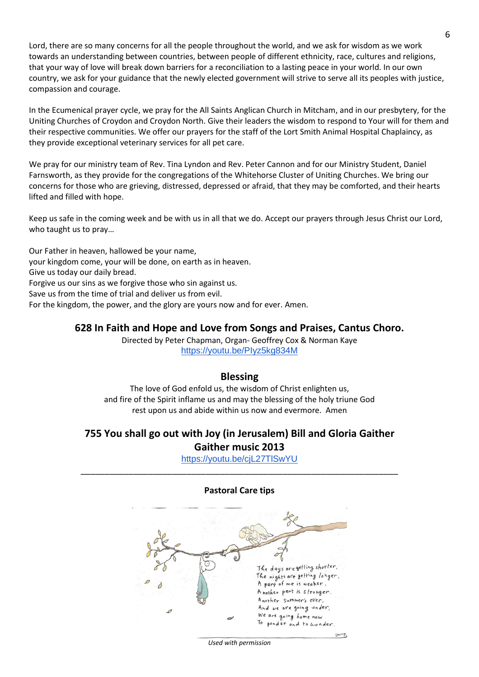Lord, there are so many concerns for all the people throughout the world, and we ask for wisdom as we work towards an understanding between countries, between people of different ethnicity, race, cultures and religions, that your way of love will break down barriers for a reconciliation to a lasting peace in your world. In our own country, we ask for your guidance that the newly elected government will strive to serve all its peoples with justice, compassion and courage.

In the Ecumenical prayer cycle, we pray for the All Saints Anglican Church in Mitcham, and in our presbytery, for the Uniting Churches of Croydon and Croydon North. Give their leaders the wisdom to respond to Your will for them and their respective communities. We offer our prayers for the staff of the Lort Smith Animal Hospital Chaplaincy, as they provide exceptional veterinary services for all pet care.

We pray for our ministry team of Rev. Tina Lyndon and Rev. Peter Cannon and for our Ministry Student, Daniel Farnsworth, as they provide for the congregations of the Whitehorse Cluster of Uniting Churches. We bring our concerns for those who are grieving, distressed, depressed or afraid, that they may be comforted, and their hearts lifted and filled with hope.

Keep us safe in the coming week and be with us in all that we do. Accept our prayers through Jesus Christ our Lord, who taught us to pray…

Our Father in heaven, hallowed be your name, your kingdom come, your will be done, on earth as in heaven. Give us today our daily bread. Forgive us our sins as we forgive those who sin against us. Save us from the time of trial and deliver us from evil. For the kingdom, the power, and the glory are yours now and for ever. Amen.

### **628 In Faith and Hope and Love from Songs and Praises, Cantus Choro.**

Directed by Peter Chapman, Organ- Geoffrey Cox & Norman Kaye <https://youtu.be/PIyz5kg834M>

#### **Blessing**

The love of God enfold us, the wisdom of Christ enlighten us, and fire of the Spirit inflame us and may the blessing of the holy triune God rest upon us and abide within us now and evermore. Amen

## **755 You shall go out with Joy (in Jerusalem) Bill and Gloria Gaither Gaither music 2013**

<https://youtu.be/cjL27TlSwYU> \_\_\_\_\_\_\_\_\_\_\_\_\_\_\_\_\_\_\_\_\_\_\_\_\_\_\_\_\_\_\_\_\_\_\_\_\_\_\_\_\_\_\_\_\_\_\_\_\_\_\_\_\_\_\_\_\_\_\_\_\_\_\_\_\_\_



*Used with permission*